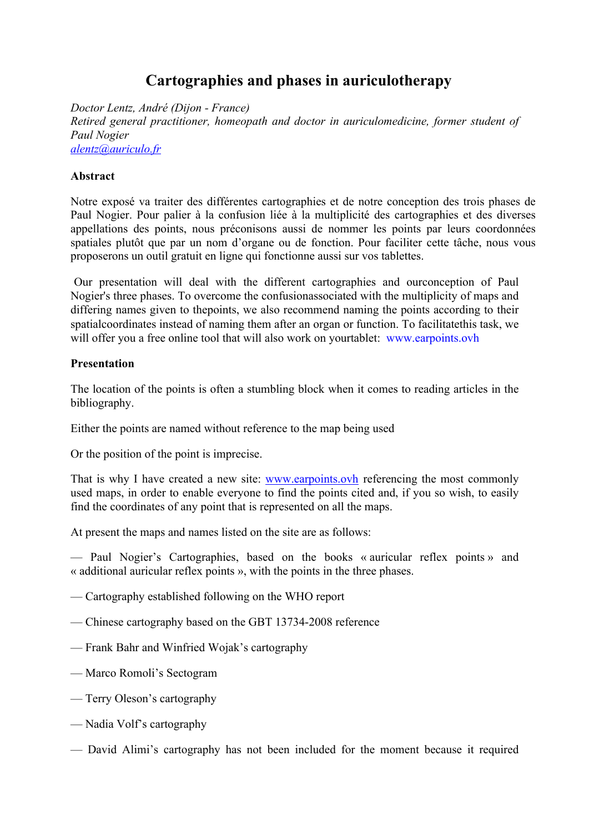# **Cartographies and phases in auriculotherapy**

*Doctor Lentz, André (Dijon - France) Retired general practitioner, homeopath and doctor in auriculomedicine, former student of Paul Nogier alentz@auriculo.fr*

#### **Abstract**

Notre exposé va traiter des différentes cartographies et de notre conception des trois phases de Paul Nogier. Pour palier à la confusion liée à la multiplicité des cartographies et des diverses appellations des points, nous préconisons aussi de nommer les points par leurs coordonnées spatiales plutôt que par un nom d'organe ou de fonction. Pour faciliter cette tâche, nous vous proposerons un outil gratuit en ligne qui fonctionne aussi sur vos tablettes.

Our presentation will deal with the different cartographies and ourconception of Paul Nogier's three phases. To overcome the confusionassociated with the multiplicity of maps and differing names given to thepoints, we also recommend naming the points according to their spatialcoordinates instead of naming them after an organ or function. To facilitatethis task, we will offer you a free online tool that will also work on yourtablet: www.earpoints.ovh

#### **Presentation**

The location of the points is often a stumbling block when it comes to reading articles in the bibliography.

Either the points are named without reference to the map being used

Or the position of the point is imprecise.

That is why I have created a new site: www.earpoints.ovh referencing the most commonly used maps, in order to enable everyone to find the points cited and, if you so wish, to easily find the coordinates of any point that is represented on all the maps.

At present the maps and names listed on the site are as follows:

— Paul Nogier's Cartographies, based on the books « auricular reflex points » and « additional auricular reflex points », with the points in the three phases.

- Cartography established following on the WHO report
- Chinese cartography based on the GBT 13734-2008 reference
- Frank Bahr and Winfried Wojak's cartography
- Marco Romoli's Sectogram
- Terry Oleson's cartography
- Nadia Volf's cartography
- David Alimi's cartography has not been included for the moment because it required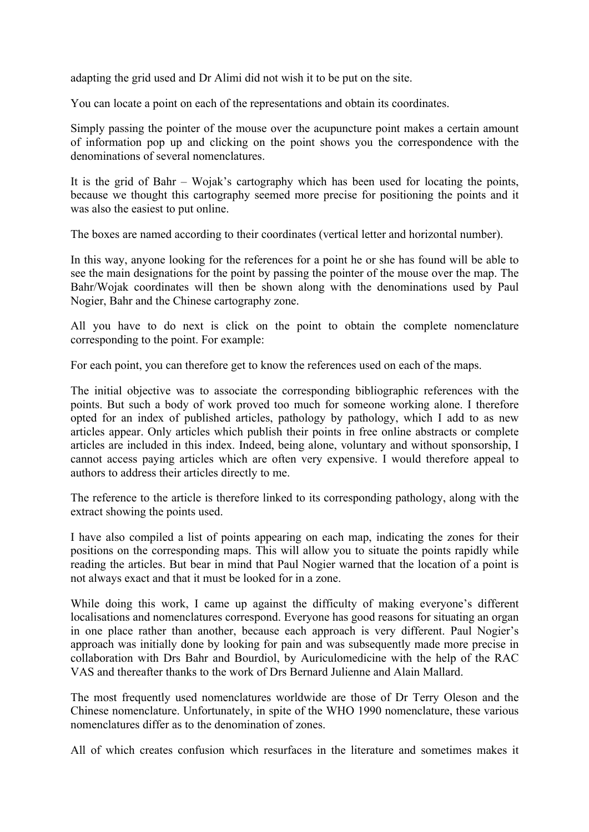adapting the grid used and Dr Alimi did not wish it to be put on the site.

You can locate a point on each of the representations and obtain its coordinates.

Simply passing the pointer of the mouse over the acupuncture point makes a certain amount of information pop up and clicking on the point shows you the correspondence with the denominations of several nomenclatures.

It is the grid of Bahr – Wojak's cartography which has been used for locating the points, because we thought this cartography seemed more precise for positioning the points and it was also the easiest to put online.

The boxes are named according to their coordinates (vertical letter and horizontal number).

In this way, anyone looking for the references for a point he or she has found will be able to see the main designations for the point by passing the pointer of the mouse over the map. The Bahr/Wojak coordinates will then be shown along with the denominations used by Paul Nogier, Bahr and the Chinese cartography zone.

All you have to do next is click on the point to obtain the complete nomenclature corresponding to the point. For example:

For each point, you can therefore get to know the references used on each of the maps.

The initial objective was to associate the corresponding bibliographic references with the points. But such a body of work proved too much for someone working alone. I therefore opted for an index of published articles, pathology by pathology, which I add to as new articles appear. Only articles which publish their points in free online abstracts or complete articles are included in this index. Indeed, being alone, voluntary and without sponsorship, I cannot access paying articles which are often very expensive. I would therefore appeal to authors to address their articles directly to me.

The reference to the article is therefore linked to its corresponding pathology, along with the extract showing the points used.

I have also compiled a list of points appearing on each map, indicating the zones for their positions on the corresponding maps. This will allow you to situate the points rapidly while reading the articles. But bear in mind that Paul Nogier warned that the location of a point is not always exact and that it must be looked for in a zone.

While doing this work, I came up against the difficulty of making everyone's different localisations and nomenclatures correspond. Everyone has good reasons for situating an organ in one place rather than another, because each approach is very different. Paul Nogier's approach was initially done by looking for pain and was subsequently made more precise in collaboration with Drs Bahr and Bourdiol, by Auriculomedicine with the help of the RAC VAS and thereafter thanks to the work of Drs Bernard Julienne and Alain Mallard.

The most frequently used nomenclatures worldwide are those of Dr Terry Oleson and the Chinese nomenclature. Unfortunately, in spite of the WHO 1990 nomenclature, these various nomenclatures differ as to the denomination of zones.

All of which creates confusion which resurfaces in the literature and sometimes makes it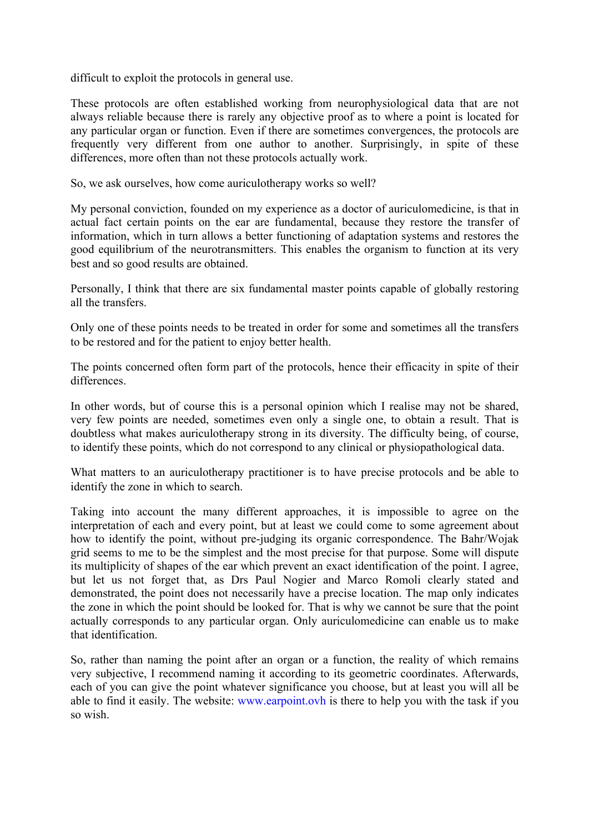difficult to exploit the protocols in general use.

These protocols are often established working from neurophysiological data that are not always reliable because there is rarely any objective proof as to where a point is located for any particular organ or function. Even if there are sometimes convergences, the protocols are frequently very different from one author to another. Surprisingly, in spite of these differences, more often than not these protocols actually work.

So, we ask ourselves, how come auriculotherapy works so well?

My personal conviction, founded on my experience as a doctor of auriculomedicine, is that in actual fact certain points on the ear are fundamental, because they restore the transfer of information, which in turn allows a better functioning of adaptation systems and restores the good equilibrium of the neurotransmitters. This enables the organism to function at its very best and so good results are obtained.

Personally, I think that there are six fundamental master points capable of globally restoring all the transfers.

Only one of these points needs to be treated in order for some and sometimes all the transfers to be restored and for the patient to enjoy better health.

The points concerned often form part of the protocols, hence their efficacity in spite of their differences.

In other words, but of course this is a personal opinion which I realise may not be shared, very few points are needed, sometimes even only a single one, to obtain a result. That is doubtless what makes auriculotherapy strong in its diversity. The difficulty being, of course, to identify these points, which do not correspond to any clinical or physiopathological data.

What matters to an auriculotherapy practitioner is to have precise protocols and be able to identify the zone in which to search.

Taking into account the many different approaches, it is impossible to agree on the interpretation of each and every point, but at least we could come to some agreement about how to identify the point, without pre-judging its organic correspondence. The Bahr/Wojak grid seems to me to be the simplest and the most precise for that purpose. Some will dispute its multiplicity of shapes of the ear which prevent an exact identification of the point. I agree, but let us not forget that, as Drs Paul Nogier and Marco Romoli clearly stated and demonstrated, the point does not necessarily have a precise location. The map only indicates the zone in which the point should be looked for. That is why we cannot be sure that the point actually corresponds to any particular organ. Only auriculomedicine can enable us to make that identification.

So, rather than naming the point after an organ or a function, the reality of which remains very subjective, I recommend naming it according to its geometric coordinates. Afterwards, each of you can give the point whatever significance you choose, but at least you will all be able to find it easily. The website: www.earpoint.ovh is there to help you with the task if you so wish.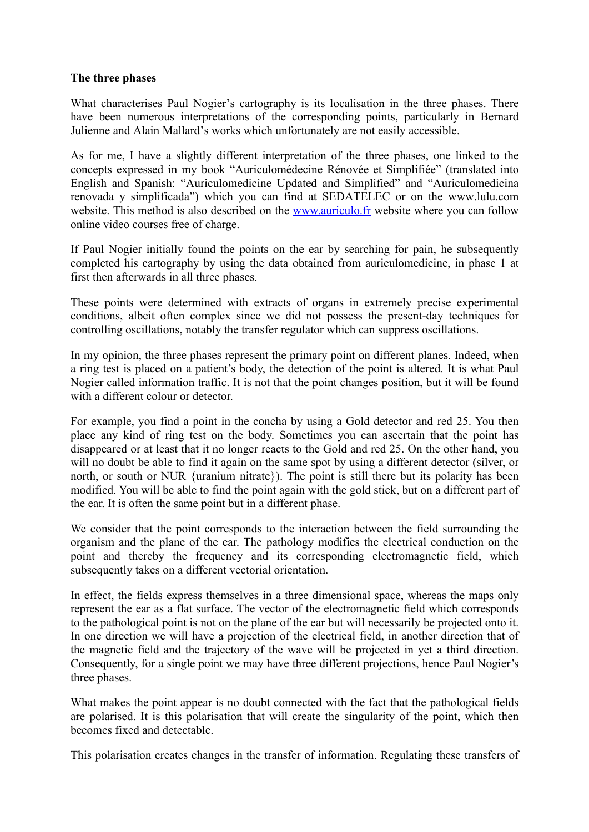#### **The three phases**

What characterises Paul Nogier's cartography is its localisation in the three phases. There have been numerous interpretations of the corresponding points, particularly in Bernard Julienne and Alain Mallard's works which unfortunately are not easily accessible.

As for me, I have a slightly different interpretation of the three phases, one linked to the concepts expressed in my book "Auriculomédecine Rénovée et Simplifiée" (translated into English and Spanish: "Auriculomedicine Updated and Simplified" and "Auriculomedicina renovada y simplificada") which you can find at SEDATELEC or on the www.lulu.com website. This method is also described on the www.auriculo.fr website where you can follow online video courses free of charge.

If Paul Nogier initially found the points on the ear by searching for pain, he subsequently completed his cartography by using the data obtained from auriculomedicine, in phase 1 at first then afterwards in all three phases.

These points were determined with extracts of organs in extremely precise experimental conditions, albeit often complex since we did not possess the present-day techniques for controlling oscillations, notably the transfer regulator which can suppress oscillations.

In my opinion, the three phases represent the primary point on different planes. Indeed, when a ring test is placed on a patient's body, the detection of the point is altered. It is what Paul Nogier called information traffic. It is not that the point changes position, but it will be found with a different colour or detector.

For example, you find a point in the concha by using a Gold detector and red 25. You then place any kind of ring test on the body. Sometimes you can ascertain that the point has disappeared or at least that it no longer reacts to the Gold and red 25. On the other hand, you will no doubt be able to find it again on the same spot by using a different detector (silver, or north, or south or NUR {uranium nitrate}). The point is still there but its polarity has been modified. You will be able to find the point again with the gold stick, but on a different part of the ear. It is often the same point but in a different phase.

We consider that the point corresponds to the interaction between the field surrounding the organism and the plane of the ear. The pathology modifies the electrical conduction on the point and thereby the frequency and its corresponding electromagnetic field, which subsequently takes on a different vectorial orientation.

In effect, the fields express themselves in a three dimensional space, whereas the maps only represent the ear as a flat surface. The vector of the electromagnetic field which corresponds to the pathological point is not on the plane of the ear but will necessarily be projected onto it. In one direction we will have a projection of the electrical field, in another direction that of the magnetic field and the trajectory of the wave will be projected in yet a third direction. Consequently, for a single point we may have three different projections, hence Paul Nogier's three phases.

What makes the point appear is no doubt connected with the fact that the pathological fields are polarised. It is this polarisation that will create the singularity of the point, which then becomes fixed and detectable.

This polarisation creates changes in the transfer of information. Regulating these transfers of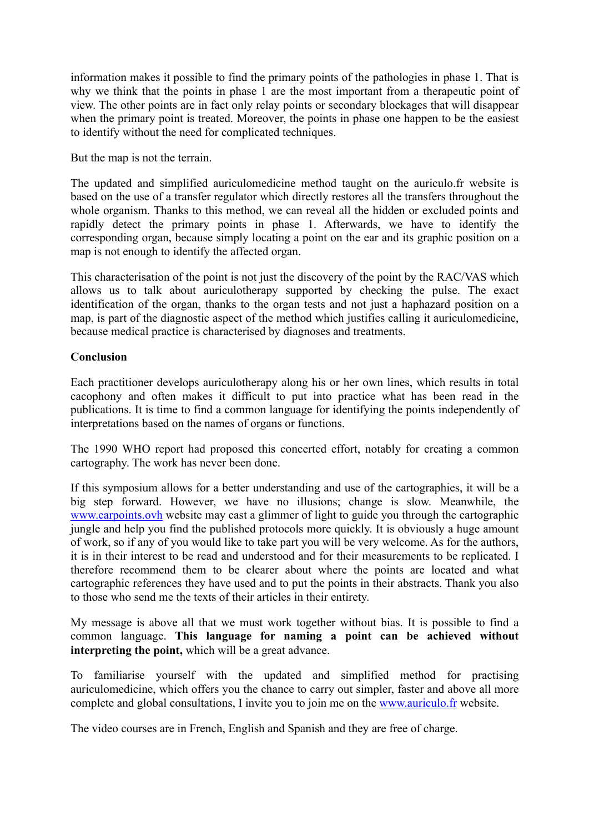information makes it possible to find the primary points of the pathologies in phase 1. That is why we think that the points in phase 1 are the most important from a therapeutic point of view. The other points are in fact only relay points or secondary blockages that will disappear when the primary point is treated. Moreover, the points in phase one happen to be the easiest to identify without the need for complicated techniques.

But the map is not the terrain.

The updated and simplified auriculomedicine method taught on the auriculo.fr website is based on the use of a transfer regulator which directly restores all the transfers throughout the whole organism. Thanks to this method, we can reveal all the hidden or excluded points and rapidly detect the primary points in phase 1. Afterwards, we have to identify the corresponding organ, because simply locating a point on the ear and its graphic position on a map is not enough to identify the affected organ.

This characterisation of the point is not just the discovery of the point by the RAC/VAS which allows us to talk about auriculotherapy supported by checking the pulse. The exact identification of the organ, thanks to the organ tests and not just a haphazard position on a map, is part of the diagnostic aspect of the method which justifies calling it auriculomedicine, because medical practice is characterised by diagnoses and treatments.

## **Conclusion**

Each practitioner develops auriculotherapy along his or her own lines, which results in total cacophony and often makes it difficult to put into practice what has been read in the publications. It is time to find a common language for identifying the points independently of interpretations based on the names of organs or functions.

The 1990 WHO report had proposed this concerted effort, notably for creating a common cartography. The work has never been done.

If this symposium allows for a better understanding and use of the cartographies, it will be a big step forward. However, we have no illusions; change is slow. Meanwhile, the www.earpoints.ovh website may cast a glimmer of light to guide you through the cartographic jungle and help you find the published protocols more quickly. It is obviously a huge amount of work, so if any of you would like to take part you will be very welcome. As for the authors, it is in their interest to be read and understood and for their measurements to be replicated. I therefore recommend them to be clearer about where the points are located and what cartographic references they have used and to put the points in their abstracts. Thank you also to those who send me the texts of their articles in their entirety.

My message is above all that we must work together without bias. It is possible to find a common language. **This language for naming a point can be achieved without interpreting the point,** which will be a great advance.

To familiarise yourself with the updated and simplified method for practising auriculomedicine, which offers you the chance to carry out simpler, faster and above all more complete and global consultations, I invite you to join me on the www.auriculo.fr website.

The video courses are in French, English and Spanish and they are free of charge.